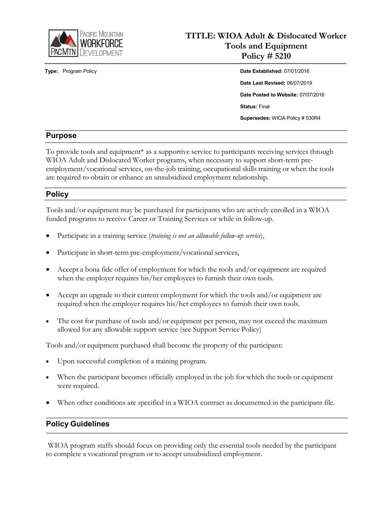

# **TITLE: WIOA Adult & Dislocated Worker Tools and Equipment Policy # 5210**

**Type:** Program Policy **Date Established:** 07/01/2016 **Date Last Revised:** 06/07/2019 **Date Posted to Website:** 07/07/2016 **Status:** Final **Supersedes:** WIOA Policy # 530R4

## **Purpose**

To provide tools and equipment\* as a supportive service to participants receiving services through WIOA Adult and Dislocated Worker programs, when necessary to support short-term preemployment/vocational services, on-the-job training, occupational skills training or when the tools are required to obtain or enhance an unsubsidized employment relationship.

## **Policy**

Tools and/or equipment may be purchased for participants who are actively enrolled in a WIOA funded programs to receive Career or Training Services or while in follow-up.

- Participate in a training service (*training is not an allowable follow-up service*),
- Participate in short-term pre-employment/vocational services,
- Accept a bona fide offer of employment for which the tools and/or equipment are required when the employer requires his/her employees to furnish their own tools.
- Accept an upgrade to their current employment for which the tools and/or equipment are required when the employer requires his/her employees to furnish their own tools.
- The cost for purchase of tools and/or equipment per person, may not exceed the maximum allowed for any allowable support service (see Support Service Policy)

Tools and/or equipment purchased shall become the property of the participant:

- Upon successful completion of a training program.
- When the participant becomes officially employed in the job for which the tools or equipment were required.
- When other conditions are specified in a WIOA contract as documented in the participant file.

#### **Policy Guidelines**

WIOA program staffs should focus on providing only the essential tools needed by the participant to complete a vocational program or to accept unsubsidized employment.